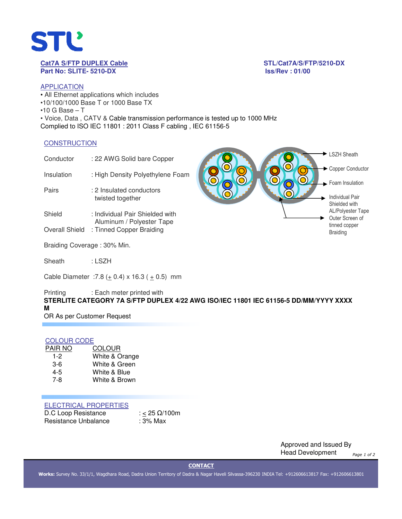

# **Part No: SLITE- 5210-DX Iss/Rev : 01/00**

**Cat7A S/FTP DUPLEX Cable STL/Cat7A/S/FTP/5210-DX**

**Contract Contract** 

# APPLICATION

• All Ethernet applications which includes •10/100/1000 Base T or 1000 Base TX  $•10$  G Base  $-$  T • Voice, Data , CATV & Cable transmission performance is tested up to 1000 MHz Complied to ISO IEC 11801 : 2011 Class F cabling , IEC 61156-5

# **CONSTRUCTION**

| Conductor                   | : 22 AWG Solid bare Copper                                   |  | LSZH Sheath                                         |
|-----------------------------|--------------------------------------------------------------|--|-----------------------------------------------------|
| Insulation                  | : High Density Polyethylene Foam                             |  | Copper Conductor                                    |
| Pairs                       | : 2 Insulated conductors<br>twisted together                 |  | Foam Insulation<br>Individual Pair<br>Shielded with |
| Shield                      | : Individual Pair Shielded with<br>Aluminum / Polyester Tape |  | AL/Polyester Tape<br>Outer Screen of                |
| <b>Overall Shield</b>       | : Tinned Copper Braiding                                     |  | tinned copper<br><b>Braiding</b>                    |
| Braiding Coverage: 30% Min. |                                                              |  |                                                     |

**Contract Contract** 

Sheath : LSZH

Cable Diameter : 7.8 ( $\pm$  0.4) x 16.3 ( $\pm$  0.5) mm

Printing : Each meter printed with **STERLITE CATEGORY 7A S/FTP DUPLEX 4/22 AWG ISO/IEC 11801 IEC 61156-5 DD/MM/YYYY XXXX M** 

OR As per Customer Request

# COLOUR CODE

| PAIR NO | <b>COLOUR</b>  |
|---------|----------------|
| 1-2     | White & Orange |
| $3-6$   | White & Green  |
| 4-5     | White & Blue   |
| 7-8     | White & Brown  |
|         |                |

# ELECTRICAL PROPERTIES

| D.C Loop Resistance  | : < 25 $\Omega/100$ m |
|----------------------|-----------------------|
| Resistance Unbalance | : 3% Max              |

Approved and Issued By Head Development *Page 1 of 2*

**CONTACT**

**Works:** Survey No. 33/1/1, Wagdhara Road, Dadra Union Territory of Dadra & Nagar Haveli Silvassa-396230 INDIA Tel: +912606613817 Fax: +912606613801